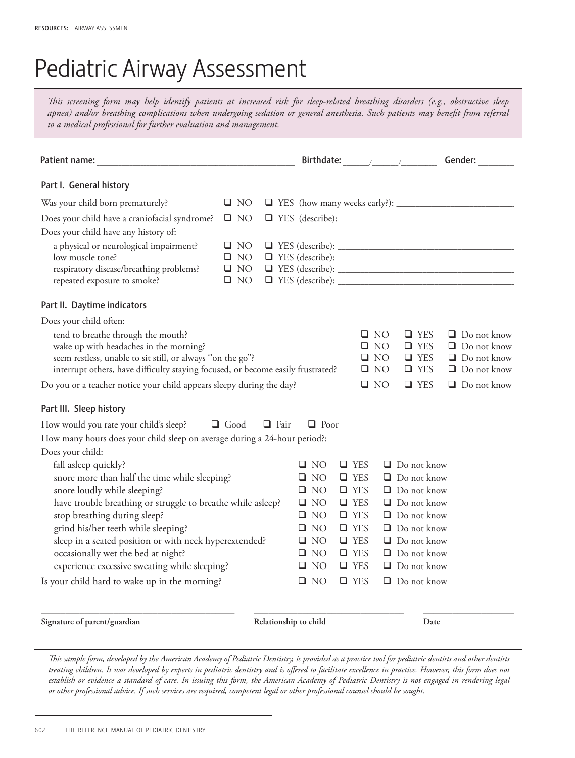## Pediatric Airway Assessment

*This screening form may help identify patients at increased risk for sleep-related breathing disorders (e.g., obstructive sleep apnea) and/or breathing complications when undergoing sedation or general anesthesia. Such patients may benefit from referral to a medical professional for further evaluation and management.*

| Patient name:                                                                                                                                                                                                                 |                                                        |              |                       |                              |  |                          |                                                           |                                                      |      | Gender:                                                                              |
|-------------------------------------------------------------------------------------------------------------------------------------------------------------------------------------------------------------------------------|--------------------------------------------------------|--------------|-----------------------|------------------------------|--|--------------------------|-----------------------------------------------------------|------------------------------------------------------|------|--------------------------------------------------------------------------------------|
| Part I. General history                                                                                                                                                                                                       |                                                        |              |                       |                              |  |                          |                                                           |                                                      |      |                                                                                      |
| Was your child born prematurely?                                                                                                                                                                                              | $\square$ NO                                           |              |                       |                              |  |                          |                                                           |                                                      |      |                                                                                      |
| Does your child have a craniofacial syndrome?                                                                                                                                                                                 | $\Box$ NO                                              |              |                       |                              |  |                          |                                                           |                                                      |      |                                                                                      |
| Does your child have any history of:<br>a physical or neurological impairment?<br>low muscle tone?<br>respiratory disease/breathing problems?<br>repeated exposure to smoke?                                                  | $\Box$ NO<br>$\square$ NO<br>$\Box$ NO<br>$\square$ NO |              |                       |                              |  |                          |                                                           |                                                      |      | $\Box$ YES (describe): $\Box$                                                        |
| Part II. Daytime indicators                                                                                                                                                                                                   |                                                        |              |                       |                              |  |                          |                                                           |                                                      |      |                                                                                      |
| Does your child often:                                                                                                                                                                                                        |                                                        |              |                       |                              |  |                          |                                                           |                                                      |      |                                                                                      |
| tend to breathe through the mouth?<br>wake up with headaches in the morning?<br>seem restless, unable to sit still, or always "on the go"?<br>interrupt others, have difficulty staying focused, or become easily frustrated? |                                                        |              |                       |                              |  |                          | $\square$ NO<br>$\square$ NO<br>$\Box$ NO<br>$\square$ NO | $\Box$ YES<br>$\Box$ YES<br>$\Box$ YES<br>$\Box$ YES |      | $\Box$ Do not know<br>$\Box$ Do not know<br>$\Box$ Do not know<br>$\Box$ Do not know |
| Do you or a teacher notice your child appears sleepy during the day?                                                                                                                                                          |                                                        |              |                       |                              |  |                          | $\square$ NO                                              | $\Box$ YES                                           |      | $\Box$ Do not know                                                                   |
| Part III. Sleep history                                                                                                                                                                                                       |                                                        |              |                       |                              |  |                          |                                                           |                                                      |      |                                                                                      |
| How would you rate your child's sleep?                                                                                                                                                                                        | $\Box$ Good                                            | $\Box$ Fair  |                       | $\Box$ Poor                  |  |                          |                                                           |                                                      |      |                                                                                      |
| How many hours does your child sleep on average during a 24-hour period?: _______                                                                                                                                             |                                                        |              |                       |                              |  |                          |                                                           |                                                      |      |                                                                                      |
| Does your child:                                                                                                                                                                                                              |                                                        |              |                       |                              |  |                          |                                                           |                                                      |      |                                                                                      |
| fall asleep quickly?                                                                                                                                                                                                          |                                                        |              |                       | $\Box$ NO                    |  | $\Box$ YES               |                                                           | $\Box$ Do not know                                   |      |                                                                                      |
| snore more than half the time while sleeping?                                                                                                                                                                                 |                                                        |              |                       | $\square$ NO                 |  | $\Box$ YES               |                                                           | $\Box$ Do not know                                   |      |                                                                                      |
| snore loudly while sleeping?                                                                                                                                                                                                  |                                                        | $\square$ NO |                       | $\Box$ YES                   |  | $\Box$ Do not know       |                                                           |                                                      |      |                                                                                      |
| have trouble breathing or struggle to breathe while asleep?                                                                                                                                                                   |                                                        |              |                       | $\square$ NO<br>$\square$ NO |  | $\Box$ YES<br>$\Box$ YES |                                                           | $\Box$ Do not know<br>$\Box$ Do not know             |      |                                                                                      |
| stop breathing during sleep?<br>grind his/her teeth while sleeping?                                                                                                                                                           |                                                        |              |                       | $\square$ NO                 |  | $\Box$ YES               |                                                           | $\Box$ Do not know                                   |      |                                                                                      |
|                                                                                                                                                                                                                               |                                                        |              |                       | $\square$ NO                 |  | $\Box$ YES               |                                                           | $\Box$ Do not know                                   |      |                                                                                      |
| sleep in a seated position or with neck hyperextended?<br>occasionally wet the bed at night?                                                                                                                                  |                                                        |              |                       | $\square$ NO                 |  | $\Box$ YES               |                                                           | $\Box$ Do not know                                   |      |                                                                                      |
| experience excessive sweating while sleeping?                                                                                                                                                                                 |                                                        |              |                       | $\square$ NO                 |  | $\Box$ YES               |                                                           | $\Box$ Do not know                                   |      |                                                                                      |
| Is your child hard to wake up in the morning?                                                                                                                                                                                 |                                                        |              |                       | $\square$ NO                 |  | $\Box$ YES               |                                                           | $\Box$ Do not know                                   |      |                                                                                      |
|                                                                                                                                                                                                                               |                                                        |              |                       |                              |  |                          |                                                           |                                                      |      |                                                                                      |
| Signature of parent/guardian                                                                                                                                                                                                  |                                                        |              | Relationship to child |                              |  |                          |                                                           |                                                      | Date |                                                                                      |

*This sample form, developed by the American Academy of Pediatric Dentistry, is provided as a practice tool for pediatric dentists and other dentists treating children. It was developed by experts in pediatric dentistry and is offered to facilitate excellence in practice. However, this form does not*  establish or evidence a standard of care. In issuing this form, the American Academy of Pediatric Dentistry is not engaged in rendering legal *or other professional advice. If such services are required, competent legal or other professional counsel should be sought.*